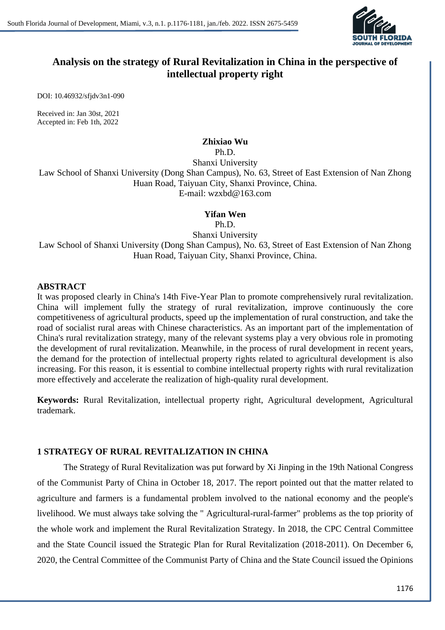

# **Analysis on the strategy of Rural Revitalization in China in the perspective of intellectual property right**

DOI: 10.46932/sfjdv3n1-090

Received in: Jan 30st, 2021 Accepted in: Feb 1th, 2022

#### **Zhixiao Wu**

Ph.D. Shanxi University Law School of Shanxi University (Dong Shan Campus), No. 63, Street of East Extension of Nan Zhong Huan Road, Taiyuan City, Shanxi Province, China. E-mail: wzxbd@163.com

#### **Yifan Wen**

Ph.D.

Shanxi University

Law School of Shanxi University (Dong Shan Campus), No. 63, Street of East Extension of Nan Zhong Huan Road, Taiyuan City, Shanxi Province, China.

### **ABSTRACT**

It was proposed clearly in China's 14th Five-Year Plan to promote comprehensively rural revitalization. China will implement fully the strategy of rural revitalization, improve continuously the core competitiveness of agricultural products, speed up the implementation of rural construction, and take the road of socialist rural areas with Chinese characteristics. As an important part of the implementation of China's rural revitalization strategy, many of the relevant systems play a very obvious role in promoting the development of rural revitalization. Meanwhile, in the process of rural development in recent years, the demand for the protection of intellectual property rights related to agricultural development is also increasing. For this reason, it is essential to combine intellectual property rights with rural revitalization more effectively and accelerate the realization of high-quality rural development.

**Keywords:** Rural Revitalization, intellectual property right, Agricultural development, Agricultural trademark.

## **1 STRATEGY OF RURAL REVITALIZATION IN CHINA**

The Strategy of Rural Revitalization was put forward by Xi Jinping in the 19th National Congress of the Communist Party of China in October 18, 2017. The report pointed out that the matter related to agriculture and farmers is a fundamental problem involved to the national economy and the people's livelihood. We must always take solving the " Agricultural-rural-farmer" problems as the top priority of the whole work and implement the Rural Revitalization Strategy. In 2018, the CPC Central Committee and the State Council issued the Strategic Plan for Rural Revitalization (2018-2011). On December 6, 2020, the Central Committee of the Communist Party of China and the State Council issued the Opinions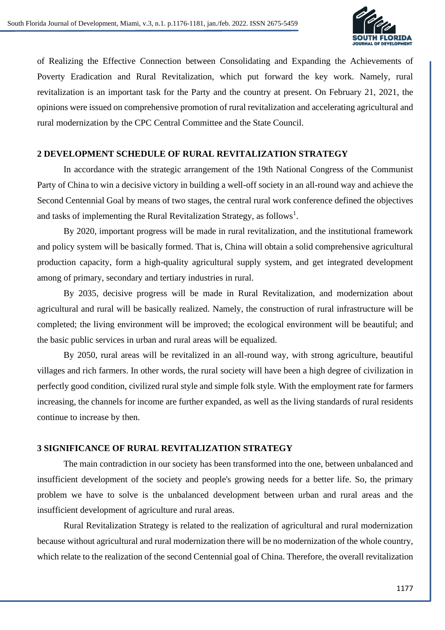

of Realizing the Effective Connection between Consolidating and Expanding the Achievements of Poverty Eradication and Rural Revitalization, which put forward the key work. Namely, rural revitalization is an important task for the Party and the country at present. On February 21, 2021, the opinions were issued on comprehensive promotion of rural revitalization and accelerating agricultural and rural modernization by the CPC Central Committee and the State Council.

### **2 DEVELOPMENT SCHEDULE OF RURAL REVITALIZATION STRATEGY**

In accordance with the strategic arrangement of the 19th National Congress of the Communist Party of China to win a decisive victory in building a well-off society in an all-round way and achieve the Second Centennial Goal by means of two stages, the central rural work conference defined the objectives and tasks of implementing the Rural Revitalization Strategy, as follows<sup>1</sup>.

By 2020, important progress will be made in rural revitalization, and the institutional framework and policy system will be basically formed. That is, China will obtain a solid comprehensive agricultural production capacity, form a high-quality agricultural supply system, and get integrated development among of primary, secondary and tertiary industries in rural.

By 2035, decisive progress will be made in Rural Revitalization, and modernization about agricultural and rural will be basically realized. Namely, the construction of rural infrastructure will be completed; the living environment will be improved; the ecological environment will be beautiful; and the basic public services in urban and rural areas will be equalized.

By 2050, rural areas will be revitalized in an all-round way, with strong agriculture, beautiful villages and rich farmers. In other words, the rural society will have been a high degree of civilization in perfectly good condition, civilized rural style and simple folk style. With the employment rate for farmers increasing, the channels for income are further expanded, as well as the living standards of rural residents continue to increase by then.

#### **3 SIGNIFICANCE OF RURAL REVITALIZATION STRATEGY**

The main contradiction in our society has been transformed into the one, between unbalanced and insufficient development of the society and people's growing needs for a better life. So, the primary problem we have to solve is the unbalanced development between urban and rural areas and the insufficient development of agriculture and rural areas.

Rural Revitalization Strategy is related to the realization of agricultural and rural modernization because without agricultural and rural modernization there will be no modernization of the whole country, which relate to the realization of the second Centennial goal of China. Therefore, the overall revitalization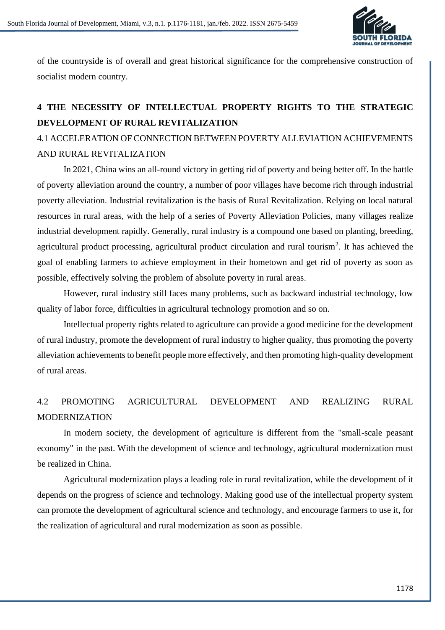

of the countryside is of overall and great historical significance for the comprehensive construction of socialist modern country.

# **4 THE NECESSITY OF INTELLECTUAL PROPERTY RIGHTS TO THE STRATEGIC DEVELOPMENT OF RURAL REVITALIZATION**

# 4.1 ACCELERATION OF CONNECTION BETWEEN POVERTY ALLEVIATION ACHIEVEMENTS AND RURAL REVITALIZATION

In 2021, China wins an all-round victory in getting rid of poverty and being better off. In the battle of poverty alleviation around the country, a number of poor villages have become rich through industrial poverty alleviation. Industrial revitalization is the basis of Rural Revitalization. Relying on local natural resources in rural areas, with the help of a series of Poverty Alleviation Policies, many villages realize industrial development rapidly. Generally, rural industry is a compound one based on planting, breeding, agricultural product processing, agricultural product circulation and rural tourism<sup>2</sup>. It has achieved the goal of enabling farmers to achieve employment in their hometown and get rid of poverty as soon as possible, effectively solving the problem of absolute poverty in rural areas.

However, rural industry still faces many problems, such as backward industrial technology, low quality of labor force, difficulties in agricultural technology promotion and so on.

Intellectual property rights related to agriculture can provide a good medicine for the development of rural industry, promote the development of rural industry to higher quality, thus promoting the poverty alleviation achievements to benefit people more effectively, and then promoting high-quality development of rural areas.

# 4.2 PROMOTING AGRICULTURAL DEVELOPMENT AND REALIZING RURAL MODERNIZATION

In modern society, the development of agriculture is different from the "small-scale peasant economy" in the past. With the development of science and technology, agricultural modernization must be realized in China.

Agricultural modernization plays a leading role in rural revitalization, while the development of it depends on the progress of science and technology. Making good use of the intellectual property system can promote the development of agricultural science and technology, and encourage farmers to use it, for the realization of agricultural and rural modernization as soon as possible.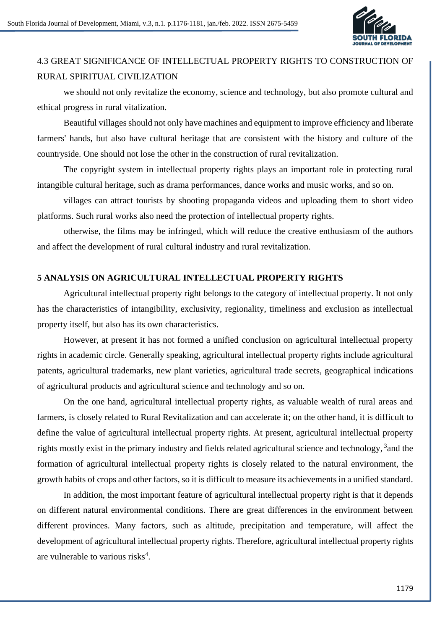

# 4.3 GREAT SIGNIFICANCE OF INTELLECTUAL PROPERTY RIGHTS TO CONSTRUCTION OF RURAL SPIRITUAL CIVILIZATION

we should not only revitalize the economy, science and technology, but also promote cultural and ethical progress in rural vitalization.

Beautiful villages should not only have machines and equipment to improve efficiency and liberate farmers' hands, but also have cultural heritage that are consistent with the history and culture of the countryside. One should not lose the other in the construction of rural revitalization.

The copyright system in intellectual property rights plays an important role in protecting rural intangible cultural heritage, such as drama performances, dance works and music works, and so on.

villages can attract tourists by shooting propaganda videos and uploading them to short video platforms. Such rural works also need the protection of intellectual property rights.

otherwise, the films may be infringed, which will reduce the creative enthusiasm of the authors and affect the development of rural cultural industry and rural revitalization.

### **5 ANALYSIS ON AGRICULTURAL INTELLECTUAL PROPERTY RIGHTS**

Agricultural intellectual property right belongs to the category of intellectual property. It not only has the characteristics of intangibility, exclusivity, regionality, timeliness and exclusion as intellectual property itself, but also has its own characteristics.

However, at present it has not formed a unified conclusion on agricultural intellectual property rights in academic circle. Generally speaking, agricultural intellectual property rights include agricultural patents, agricultural trademarks, new plant varieties, agricultural trade secrets, geographical indications of agricultural products and agricultural science and technology and so on.

On the one hand, agricultural intellectual property rights, as valuable wealth of rural areas and farmers, is closely related to Rural Revitalization and can accelerate it; on the other hand, it is difficult to define the value of agricultural intellectual property rights. At present, agricultural intellectual property rights mostly exist in the primary industry and fields related agricultural science and technology, <sup>3</sup> and the formation of agricultural intellectual property rights is closely related to the natural environment, the growth habits of crops and other factors, so it is difficult to measure its achievements in a unified standard.

In addition, the most important feature of agricultural intellectual property right is that it depends on different natural environmental conditions. There are great differences in the environment between different provinces. Many factors, such as altitude, precipitation and temperature, will affect the development of agricultural intellectual property rights. Therefore, agricultural intellectual property rights are vulnerable to various risks<sup>4</sup>.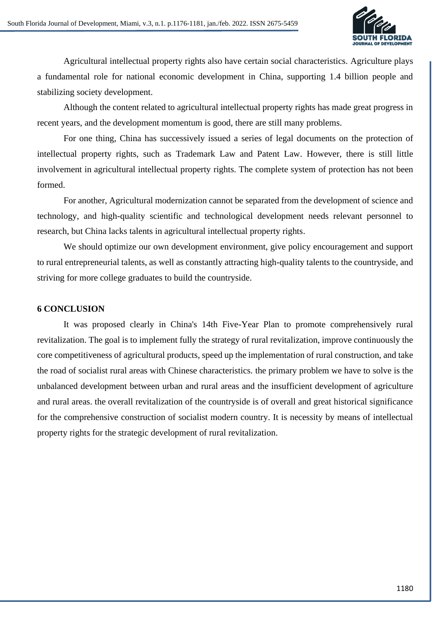

Agricultural intellectual property rights also have certain social characteristics. Agriculture plays a fundamental role for national economic development in China, supporting 1.4 billion people and stabilizing society development.

Although the content related to agricultural intellectual property rights has made great progress in recent years, and the development momentum is good, there are still many problems.

For one thing, China has successively issued a series of legal documents on the protection of intellectual property rights, such as Trademark Law and Patent Law. However, there is still little involvement in agricultural intellectual property rights. The complete system of protection has not been formed.

For another, Agricultural modernization cannot be separated from the development of science and technology, and high-quality scientific and technological development needs relevant personnel to research, but China lacks talents in agricultural intellectual property rights.

We should optimize our own development environment, give policy encouragement and support to rural entrepreneurial talents, as well as constantly attracting high-quality talents to the countryside, and striving for more college graduates to build the countryside.

#### **6 CONCLUSION**

It was proposed clearly in China's 14th Five-Year Plan to promote comprehensively rural revitalization. The goal is to implement fully the strategy of rural revitalization, improve continuously the core competitiveness of agricultural products, speed up the implementation of rural construction, and take the road of socialist rural areas with Chinese characteristics. the primary problem we have to solve is the unbalanced development between urban and rural areas and the insufficient development of agriculture and rural areas. the overall revitalization of the countryside is of overall and great historical significance for the comprehensive construction of socialist modern country. It is necessity by means of intellectual property rights for the strategic development of rural revitalization.